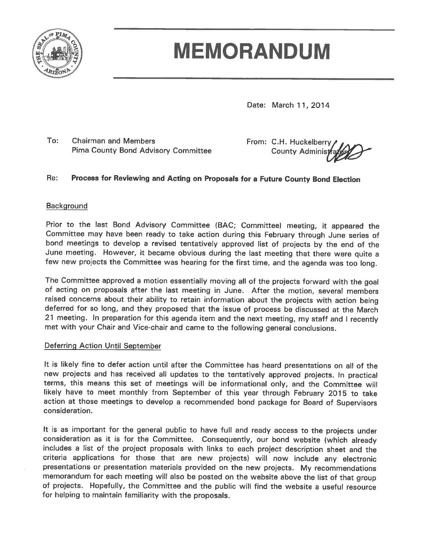

# **MEMORANDUM**

Date: March 11, 2014

To: **Chairman and Members Pima County Bond Advisory Committee** 

From: C.H. Huckelberry **County Administ** 

#### $Re:$ Process for Reviewing and Acting on Proposals for a Future County Bond Election

### **Background**

Prior to the last Bond Advisory Committee (BAC; Committee) meeting, it appeared the Committee may have been ready to take action during this February through June series of bond meetings to develop a revised tentatively approved list of projects by the end of the June meeting. However, it became obvious during the last meeting that there were quite a few new projects the Committee was hearing for the first time, and the agenda was too long.

The Committee approved a motion essentially moving all of the projects forward with the goal of acting on proposals after the last meeting in June. After the motion, several members raised concerns about their ability to retain information about the projects with action being deferred for so long, and they proposed that the issue of process be discussed at the March 21 meeting. In preparation for this agenda item and the next meeting, my staff and I recently met with your Chair and Vice-chair and came to the following general conclusions.

#### Deferring Action Until September

It is likely fine to defer action until after the Committee has heard presentations on all of the new projects and has received all updates to the tentatively approved projects. In practical terms, this means this set of meetings will be informational only, and the Committee will likely have to meet monthly from September of this year through February 2015 to take action at those meetings to develop a recommended bond package for Board of Supervisors consideration.

It is as important for the general public to have full and ready access to the projects under consideration as it is for the Committee. Consequently, our bond website (which already includes a list of the project proposals with links to each project description sheet and the criteria applications for those that are new projects) will now include any electronic presentations or presentation materials provided on the new projects. My recommendations memorandum for each meeting will also be posted on the website above the list of that group of projects. Hopefully, the Committee and the public will find the website a useful resource for helping to maintain familiarity with the proposals.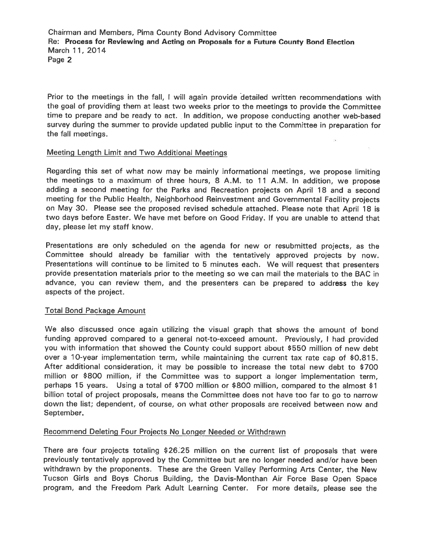Chairman and Members, Pima County Bond Advisory Committee Re: Process for Reviewing and Acting on Proposals for a Future County Bond Election March 11, 2014 Page 2

Prior to the meetings in the fall, I will again provide detailed written recommendations with the goal of providing them at least two weeks prior to the meetings to provide the Committee time to prepare and be ready to act. In addition, we propose conducting another web-based survey during the summer to provide updated public input to the Committee in preparation for the fall meetings.

#### Meeting Length Limit and Two Additional Meetings

Regarding this set of what now may be mainly informational meetings, we propose limiting the meetings to a maximum of three hours, 8 A.M. to 11 A.M. In addition, we propose adding a second meeting for the Parks and Recreation projects on April 18 and a second meeting for the Public Health, Neighborhood Reinvestment and Governmental Facility projects on May 30. Please see the proposed revised schedule attached. Please note that April 18 is two days before Easter. We have met before on Good Friday. If you are unable to attend that day, please let my staff know.

Presentations are only scheduled on the agenda for new or resubmitted projects, as the Committee should already be familiar with the tentatively approved projects by now. Presentations will continue to be limited to 5 minutes each. We will request that presenters provide presentation materials prior to the meeting so we can mail the materials to the BAC in advance, you can review them, and the presenters can be prepared to address the key aspects of the project.

#### **Total Bond Package Amount**

We also discussed once again utilizing the visual graph that shows the amount of bond funding approved compared to a general not-to-exceed amount. Previously, I had provided you with information that showed the County could support about \$550 million of new debt over a 10-year implementation term, while maintaining the current tax rate cap of \$0.815. After additional consideration, it may be possible to increase the total new debt to \$700 million or \$800 million, if the Committee was to support a longer implementation term, perhaps 15 years. Using a total of \$700 million or \$800 million, compared to the almost \$1 billion total of project proposals, means the Committee does not have too far to go to narrow down the list; dependent, of course, on what other proposals are received between now and September.

### Recommend Deleting Four Projects No Longer Needed or Withdrawn

There are four projects totaling \$26.25 million on the current list of proposals that were previously tentatively approved by the Committee but are no longer needed and/or have been withdrawn by the proponents. These are the Green Valley Performing Arts Center, the New Tucson Girls and Boys Chorus Building, the Davis-Monthan Air Force Base Open Space program, and the Freedom Park Adult Learning Center. For more details, please see the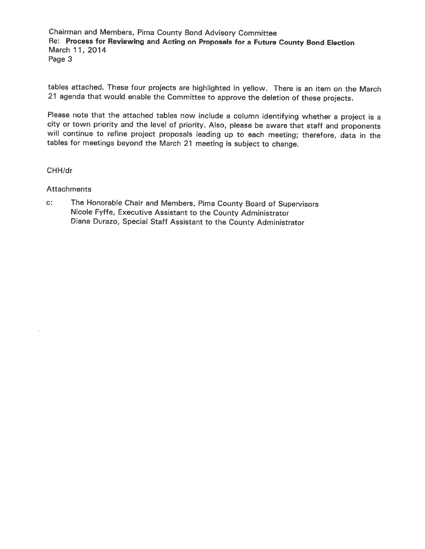Chairman and Members, Pima County Bond Advisory Committee Re: Process for Reviewing and Acting on Proposals for a Future County Bond Election March 11, 2014 Page 3

tables attached. These four projects are highlighted in yellow. There is an item on the March 21 agenda that would enable the Committee to approve the deletion of these projects.

Please note that the attached tables now include a column identifying whether a project is a city or town priority and the level of priority. Also, please be aware that staff and proponents will continue to refine project proposals leading up to each meeting; therefore, data in the tables for meetings beyond the March 21 meeting is subject to change.

CHH/dr

**Attachments** 

 $c$ : The Honorable Chair and Members, Pima County Board of Supervisors Nicole Fyffe, Executive Assistant to the County Administrator Diana Durazo, Special Staff Assistant to the County Administrator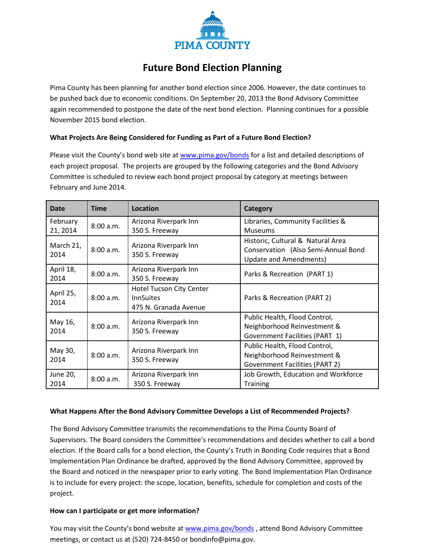

## **Future Bond Election Planning**

Pima County has been planning for another bond election since 2006. However, the date continues to be pushed back due to economic conditions. On September 20, 2013 the Bond Advisory Committee again recommended to postpone the date of the next bond election. Planning continues for a possible November 2015 bond election.

#### **What Projects Are Being Considered for Funding as Part of a Future Bond Election?**

Please visit the County's bond web site a[t www.pima.gov/bonds](http://www.pima.gov/bonds) for a list and detailed descriptions of each project proposal. The projects are grouped by the following categories and the Bond Advisory Committee is scheduled to review each bond project proposal by category at meetings between February and June 2014.

| <b>Time</b><br>Date            |           | <b>Location</b>                                                              | Category                                                                                                  |  |  |  |  |
|--------------------------------|-----------|------------------------------------------------------------------------------|-----------------------------------------------------------------------------------------------------------|--|--|--|--|
| February<br>21, 2014           | 8:00 a.m. | Arizona Riverpark Inn<br>350 S. Freeway                                      | Libraries, Community Facilities &<br><b>Museums</b>                                                       |  |  |  |  |
| March 21,<br>8:00 a.m.<br>2014 |           | Arizona Riverpark Inn<br>350 S. Freeway                                      | Historic, Cultural & Natural Area<br>Conservation (Also Semi-Annual Bond<br><b>Update and Amendments)</b> |  |  |  |  |
| April 18,<br>2014              | 8:00 a.m. | Arizona Riverpark Inn<br>350 S. Freeway                                      | Parks & Recreation (PART 1)                                                                               |  |  |  |  |
| April 25,<br>2014              | 8:00 a.m. | <b>Hotel Tucson City Center</b><br><b>InnSuites</b><br>475 N. Granada Avenue | Parks & Recreation (PART 2)                                                                               |  |  |  |  |
| May 16,<br>2014                | 8:00 a.m. | Arizona Riverpark Inn<br>350 S. Freeway                                      | Public Health, Flood Control,<br>Neighborhood Reinvestment &<br>Government Facilities (PART 1)            |  |  |  |  |
| May 30,<br>2014                | 8:00 a.m. | Arizona Riverpark Inn<br>350 S. Freeway                                      | Public Health, Flood Control,<br>Neighborhood Reinvestment &<br><b>Government Facilities (PART 2)</b>     |  |  |  |  |
| June 20,<br>2014               | 8:00 a.m. | Arizona Riverpark Inn<br>350 S. Freeway                                      | Job Growth, Education and Workforce<br><b>Training</b>                                                    |  |  |  |  |

#### **What Happens After the Bond Advisory Committee Develops a List of Recommended Projects?**

The Bond Advisory Committee transmits the recommendations to the Pima County Board of Supervisors. The Board considers the Committee's recommendations and decides whether to call a bond election. If the Board calls for a bond election, the County's Truth in Bonding Code requires that a Bond Implementation Plan Ordinance be drafted, approved by the Bond Advisory Committee, approved by the Board and noticed in the newspaper prior to early voting. The Bond Implementation Plan Ordinance is to include for every project: the scope, location, benefits, schedule for completion and costs of the project.

#### **How can I participate or get more information?**

You may visit the County's bond website at [www.pima.gov/bonds](http://www.pima.gov/bonds) , attend [Bond Advisory Committee](http://webcms.pima.gov/cms/one.aspx?portalId=169&pageId=3814)  [meetings, or](http://webcms.pima.gov/cms/one.aspx?portalId=169&pageId=3814) contact us at (520) 724-8450 o[r bondinfo@pima.gov.](http://webcms.pima.gov/cms/One.aspx?portalId=169&pageId=21545)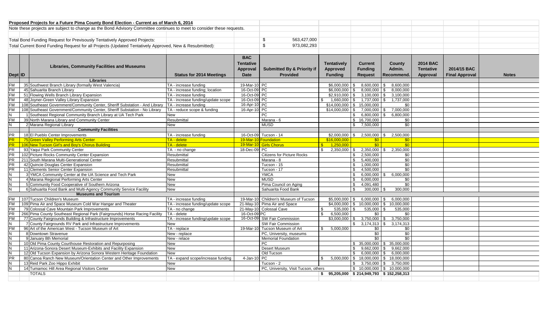|                                                                                                        |  | Proposed Projects for a Future Pima County Bond Election - Current as of March 6, 2014                                                       |                                                  |                  |                                       |                       |                                                         |                                          |                  |                       |              |
|--------------------------------------------------------------------------------------------------------|--|----------------------------------------------------------------------------------------------------------------------------------------------|--------------------------------------------------|------------------|---------------------------------------|-----------------------|---------------------------------------------------------|------------------------------------------|------------------|-----------------------|--------------|
|                                                                                                        |  | Note these projects are subject to change as the Bond Advisory Committee continues to meet to consider these requests.                       |                                                  |                  |                                       |                       |                                                         |                                          |                  |                       |              |
|                                                                                                        |  |                                                                                                                                              |                                                  |                  |                                       |                       |                                                         |                                          |                  |                       |              |
| Total Bond Funding Request for Previsously Tentatively Approved Projects:                              |  |                                                                                                                                              |                                                  |                  | \$<br>563,427,000                     |                       |                                                         |                                          |                  |                       |              |
| Total Current Bond Funding Request for all Projects (Updated Tentatively Approved, New & Resubmitted): |  |                                                                                                                                              |                                                  |                  | \$                                    |                       |                                                         |                                          |                  |                       |              |
|                                                                                                        |  |                                                                                                                                              |                                                  |                  | 973.082.293                           |                       |                                                         |                                          |                  |                       |              |
|                                                                                                        |  |                                                                                                                                              |                                                  |                  |                                       |                       |                                                         |                                          |                  |                       |              |
|                                                                                                        |  |                                                                                                                                              |                                                  | <b>BAC</b>       |                                       |                       |                                                         |                                          |                  |                       |              |
|                                                                                                        |  |                                                                                                                                              |                                                  | <b>Tentative</b> |                                       | Tentatively           | <b>Current</b>                                          | County                                   | <b>2014 BAC</b>  |                       |              |
|                                                                                                        |  | <b>Libraries, Community Facilities and Museums</b>                                                                                           |                                                  | Approval         | <b>Submitted By &amp; Priority if</b> | <b>Approved</b>       | <b>Funding</b>                                          | Admin.                                   | <b>Tentative</b> | 2014/15 BAC           |              |
| Dept ID                                                                                                |  |                                                                                                                                              | <b>Status for 2014 Meetings</b>                  | <b>Date</b>      | <b>Provided</b>                       | <b>Funding</b>        | <b>Request</b>                                          | Recommend.                               | Approval         | <b>Final Approval</b> | <b>Notes</b> |
|                                                                                                        |  | <b>Libraries</b>                                                                                                                             |                                                  |                  |                                       |                       |                                                         |                                          |                  |                       |              |
| <b>FM</b>                                                                                              |  | 35 Southwest Branch Library (formally West Valencia)                                                                                         | TA - increase funding                            | 19-Mar-10 PC     |                                       | $$6.000.000$ \ \$     |                                                         | 8,600,000 \$ 8,600,000                   |                  |                       |              |
|                                                                                                        |  | 45 Sahuarita Branch Library                                                                                                                  | TA - increase funding; location                  | 16-Oct-09 PC     |                                       | $$6.000.000$ \ \$     | 8,000,000                                               | $\mathbf{s}$<br>8.000.000                |                  |                       |              |
|                                                                                                        |  | 51 Flowing Wells Branch Library Expansion                                                                                                    | TA - increase funding                            | 16-Oct-09 PC     |                                       | $$2.910.000$ \ \$     | 3,100,000                                               | 3,100,000<br><b>S</b>                    |                  |                       |              |
| FM<br>FM<br>FM                                                                                         |  | 48 Joyner-Green Valley Library Expansion                                                                                                     | TA - increase funding/update scope               | 16-Oct-09 PC     |                                       | $1,660,000$ \$<br>\$  | 1,737,000                                               | \$<br>1,737,000                          |                  |                       |              |
| <b>FM</b>                                                                                              |  | 108 Southeast Government/Community Center, Sheriff Substation - And Library                                                                  | TA - increase funding                            | 16-Apr-10 PC     |                                       |                       | $$14,000,000$ \ \$ 15,000,000                           | \$0                                      |                  |                       |              |
|                                                                                                        |  | 108 Southeast Government/Community Center, Sheriff Substation - No Library                                                                   | TA - reduce scope & funding                      | 16-Apr-10 PC     |                                       | $$14,000,000$ \ \$    |                                                         | 7,000,000 \$ 7,000,000                   |                  |                       |              |
| $\frac{FM}{N}$                                                                                         |  | 1 Southeast Regional Community Branch Library at UA Tech Park                                                                                | New                                              |                  | <b>PC</b>                             |                       | $\mathbb{S}$<br>$6,800,000$ \$                          | 6.800.000                                |                  |                       |              |
|                                                                                                        |  | 39 North Marana Library and Community Center                                                                                                 | Resubmittal                                      |                  | Marana - 6                            |                       | \$16,700,000                                            | \$0                                      |                  |                       |              |
| $\frac{FM}{N}$                                                                                         |  | 2 Marana Regional Library                                                                                                                    | New                                              |                  | <b>MUSD</b>                           |                       | 7,500,000<br>\$                                         | \$0                                      |                  |                       |              |
|                                                                                                        |  | <b>Community Facilities</b>                                                                                                                  |                                                  |                  |                                       |                       |                                                         |                                          |                  |                       |              |
| $\overline{\mathsf{PR}}$                                                                               |  | 18 El Pueblo Center Improvements                                                                                                             | TA - increase funding                            |                  | 16-Oct-09 Tucson - 14                 | \$2,000,000           | 2,500,000<br>- \$                                       | 2,500,000<br>SS.                         |                  |                       |              |
| <b>PR</b>                                                                                              |  | 75 Green Valley Performing Arts Center                                                                                                       | TA - delete                                      |                  | 19-Mar-10 Foundation                  | \$16,000,000          | \$0                                                     | \$0                                      |                  |                       |              |
| <b>PR</b>                                                                                              |  | 106 New Tucson Girl's and Boy's Chorus Building                                                                                              | <b>TA</b> - delete                               |                  | 19-Mar-10 Girls Chorus                | $\frac{1,250,000}{5}$ | \$0                                                     | $\overline{50}$                          |                  |                       |              |
|                                                                                                        |  | 93 Yaqui Park Community Center                                                                                                               | TA - no change                                   | 18-Dec-09 PC     |                                       | $\mathbb{S}$          | $2,350,000$ \$ 2,350,000 \$ 2,350,000                   |                                          |                  |                       |              |
|                                                                                                        |  | 102 Picture Rocks Community Center Expansion                                                                                                 | Resubmittal                                      |                  | <b>Citizens for Picture Rocks</b>     |                       | $\mathbb{S}$<br>2,500,000                               | \$0                                      |                  |                       |              |
|                                                                                                        |  | 211 South Marana Multi-Generational Center                                                                                                   | Resubmittal                                      |                  | Marana - 8                            |                       | 5,400,000<br>\$                                         | $\overline{30}$                          |                  |                       |              |
|                                                                                                        |  | 42 Quincie Douglas Center Expansion                                                                                                          | Resubmittal                                      |                  | Tucson - 15                           |                       | 1,000,000<br>- \$                                       | \$0                                      |                  |                       |              |
|                                                                                                        |  | 11 Clements Senior Center Expansion                                                                                                          | Resubmittal                                      |                  | Tucson - 17                           |                       | 4,500,000<br>- \$                                       | \$0                                      |                  |                       |              |
|                                                                                                        |  | 3 YMCA Community Center at the UA Science and Tech Park                                                                                      | <b>New</b>                                       |                  | <b>YMCA</b>                           |                       | - \$                                                    | $6,000,000$ \$ 6,000,000                 |                  |                       |              |
|                                                                                                        |  | 4 Marana Regional Performing Arts Center                                                                                                     | New                                              |                  | <b>MUSD</b>                           |                       | \$<br>6,000,000                                         | \$0                                      |                  |                       |              |
|                                                                                                        |  | 5 Community Food Cooperative of Southern Arizona                                                                                             | New                                              |                  | Pima Council on Aging                 |                       | - \$<br>4,091,480                                       | \$0                                      |                  |                       |              |
| N                                                                                                      |  | 6 Sahuarita Food Bank and Multi-Agency Community Service Facility                                                                            | <b>New</b>                                       |                  | Sahuarita Food Bank                   |                       | 300,000<br>- \$                                         | 300,000<br><b>S</b>                      |                  |                       |              |
|                                                                                                        |  | <b>Museums and Tourism</b>                                                                                                                   |                                                  |                  |                                       |                       |                                                         |                                          |                  |                       |              |
| <b>FM</b>                                                                                              |  | 107 Tucson Children's Museum                                                                                                                 | TA - increase funding                            |                  | 19-Mar-10 Children's Museum of Tucson | $$5.000.000$ \ \$     | $6,000,000$ \$                                          | 6,000,000                                |                  |                       |              |
| <b>FM</b>                                                                                              |  | 109 Pima Air and Space Museum Cold War Hangar and Theater                                                                                    | TA - increase funding/update scope               |                  | 21-May-10 Pima Air and Space          | $$4,000,000$ \ \$     | 10,000,000                                              | 10,000,000<br>\$                         |                  |                       |              |
| <b>FM</b>                                                                                              |  | 79 Colossal Cave Mountain Park Improvements                                                                                                  | TA - no change                                   |                  | 21-May-10 Colossal Cave               | \$<br>535,000         | 535,000<br>l \$                                         | 535,000<br>\$                            |                  |                       |              |
| PR                                                                                                     |  | 266 Pima County Southeast Regional Park (Fairgrounds) Horse Racing Facility                                                                  | TA - delete                                      | 16-Oct-09 PC     |                                       | 6,500,000<br>\$       | \$0                                                     | \$0                                      |                  |                       |              |
| <b>FM</b>                                                                                              |  | 77 County Fairgrounds Building & Infrastructure Improvements                                                                                 | TA - increase funding/update scope               |                  | 16-Oct-09 SW Fair Commission          | \$3,000,000           | 3,750,000<br>- \$                                       | 3,750,000<br>\$                          |                  |                       |              |
|                                                                                                        |  | 7 County Fairgrounds RV Park and Infrastructure Improvements                                                                                 | New                                              |                  | SW Fair Commission                    |                       | -\$                                                     | 3,174,313                                |                  |                       |              |
|                                                                                                        |  | 96 Art of the American West - Tucson Museum of Art                                                                                           | TA - replace                                     | 19-Mar-10        | Tucson Museum of Art                  | 5,000,000<br>\$       | \$0                                                     | \$0                                      |                  |                       |              |
| $\geq \frac{1}{2}$ $\geq \frac{1}{2}$                                                                  |  | 8 Downtown Stravenue                                                                                                                         | New - replace                                    |                  | PC, University, museums               |                       | \$0                                                     | \$0                                      |                  |                       |              |
|                                                                                                        |  | 9 January 8th Memorial                                                                                                                       | New - relace                                     |                  | <b>Memorial Foundation</b>            |                       | \$0                                                     | \$0                                      |                  |                       |              |
|                                                                                                        |  | 10 Old Pima County Courthouse Restoration and Repurposing                                                                                    | New                                              |                  | PC                                    |                       |                                                         | $$35,000,000$ $$35,000,000$              |                  |                       |              |
|                                                                                                        |  | 11 Arizona-Sonora Desert Museum-Exhibits and Facility Expansion                                                                              | <b>New</b>                                       |                  | Desert Museum                         |                       | - \$<br>9,662,000                                       | $\mathbf{s}$<br>9,662,000                |                  |                       |              |
| $\frac{N}{PR}$                                                                                         |  | 12 Old Tucson Expansion by Arizona Sonora Western Heritage Foundation<br>80 Canoa Ranch New Museum/Orientation Center and Other Improvements | <b>New</b><br>TA - expand scope/increase funding | 4-Jan-10 PC      | Old Tucson                            | \$                    | \$<br>$5,000,000$ \$ 18,000,000 \$ 18,000,000           | $6,000,000$   \$ 6,000,000               |                  |                       |              |
|                                                                                                        |  |                                                                                                                                              |                                                  |                  |                                       |                       |                                                         |                                          |                  |                       |              |
| $\frac{1}{2}$                                                                                          |  | 13 Reid Park Zoo Hippo Exhibit<br>14 Tumamoc Hill Area Regional Visitors Center                                                              | New<br>New                                       |                  | Tucson - 2                            |                       | $3,750,000$ \$<br>\$                                    | 3,750,000<br>$$10.000.000$ $$10.000.000$ |                  |                       |              |
|                                                                                                        |  | <b>TOTALS</b>                                                                                                                                |                                                  |                  | PC, University, Visit Tucson, others  |                       | $$95,205,000 \;   \; $214,949,793 \;   \; $152,258,313$ |                                          |                  |                       |              |
|                                                                                                        |  |                                                                                                                                              |                                                  |                  |                                       |                       |                                                         |                                          |                  |                       |              |
|                                                                                                        |  |                                                                                                                                              |                                                  |                  |                                       |                       |                                                         |                                          |                  |                       |              |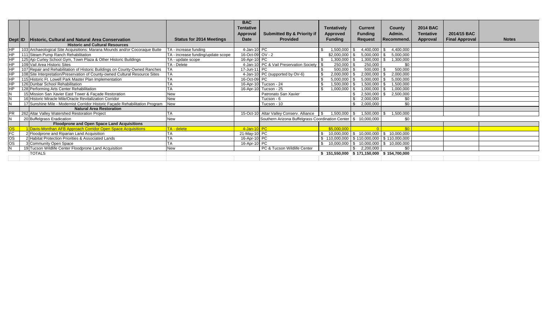|           |                                                                              |                                    | <b>BAC</b>                  |                                                                  |                |                                               |                          |                  |                       |              |
|-----------|------------------------------------------------------------------------------|------------------------------------|-----------------------------|------------------------------------------------------------------|----------------|-----------------------------------------------|--------------------------|------------------|-----------------------|--------------|
|           |                                                                              |                                    | <b>Tentative</b>            |                                                                  | Tentatively    | <b>Current</b>                                | County                   | <b>2014 BAC</b>  |                       |              |
|           |                                                                              |                                    | Approval                    | <b>Submitted By &amp; Priority if</b>                            | Approved       | <b>Funding</b>                                | Admin.                   | <b>Tentative</b> | 2014/15 BAC           |              |
|           | Dept ID Historic, Cultural and Natural Area Conservation                     | <b>Status for 2014 Meetings</b>    | <b>Date</b>                 | <b>Provided</b>                                                  | <b>Funding</b> | Request                                       | Recommend.               | Approval         | <b>Final Approval</b> | <b>Notes</b> |
|           | <b>Historic and Cultural Resources</b>                                       |                                    |                             |                                                                  |                |                                               |                          |                  |                       |              |
|           | 103 Archaeological Site Acquisitions: Marana Mounds and/or Cocoraque Butte   | TA - increase funding              | $4$ -Jan-10 $\overline{PC}$ |                                                                  | 1,500,000      | 4,400,000                                     | 4,400,000                |                  |                       |              |
| <b>HP</b> | 111 Steam Pump Ranch Rehabilitation                                          | TA - increase funding/update scope | 16-Oct-09 OV - 2            |                                                                  | \$2,000.000    | 5,000,000                                     | 5,000,000                |                  |                       |              |
| <b>HP</b> | 125 Ajo Curley School Gym, Town Plaza & Other Historic Buildings             | TA - update scope                  | 16-Apr-10 PC                |                                                                  | ,300,000       | .300,000                                      | 1,300,000                |                  |                       |              |
| <b>HP</b> | 109 Vail Area Historic Sites                                                 | TA - Delete                        |                             | 4-Jan-10 PC & Vail Preservation Society   \$                     | 250,000        | 250,000                                       | \$0                      |                  |                       |              |
| <b>HP</b> | 107 Repair and Rehabilitation of Historic Buildings on County-Owned Ranches  |                                    | 17-Jun-11 PC                |                                                                  | 500,000        | 500,000                                       | 500,000                  |                  |                       |              |
| <b>HP</b> | 108 Site Interpretation/Preservation of County-owned Cultural Resource Sites |                                    |                             | 4-Jan-10 PC (supported by OV-6)                                  | 2,000,000      | 2,000,000                                     | 2,000,000                |                  |                       |              |
| HP        | 115 Historic Ft. Lowell Park Master Plan Implementation                      |                                    | 16-Oct-09 PC                |                                                                  | 5,000,000      | 5,000,000                                     | 5,000,000                |                  |                       |              |
| <b>HP</b> | 126 Dunbar School Rehabilitation                                             |                                    |                             | 16-Apr-10 Tucson - 24                                            | ,500,000       | 1,500,000                                     | .500,000                 |                  |                       |              |
| <b>HP</b> | 128 Performing Arts Center Rehabilitation                                    |                                    |                             | 16-Apr-10 Tucson - 25                                            | ,000,000       | 000,000,1                                     | 1,000,000                |                  |                       |              |
|           | 15 Mission San Xavier East Tower & Facade Restoration                        | New                                |                             | Patronato San Xavier                                             |                | 2,500,000                                     | 2,500,000                |                  |                       |              |
|           | 16 Historic Miracle Mile/Oracle Revitalization Corridor                      | <b>New</b>                         |                             | Tucson - 6                                                       |                | 2,000,000                                     | \$0                      |                  |                       |              |
|           | 17 Sunshine Mile - Modernist Corridor Historic Facade Rehabilitation Program | <b>New</b>                         |                             | Tucson - 10                                                      |                | 2,000,000                                     | \$0                      |                  |                       |              |
|           | <b>Natural Area Restoration</b>                                              |                                    |                             |                                                                  |                |                                               |                          |                  |                       |              |
| <b>PR</b> | 262 Altar Valley Watershed Restoration Project                               |                                    |                             | 15-Oct-10 Altar Valley Conserv. Alliance \\$                     | $1,500,000$ \$ | $1,500,000$ \$                                | 1,500,000                |                  |                       |              |
|           | 20 Buffelgrass Eradication                                                   | <b>New</b>                         |                             | Southern Arizona Buffelgrass Coordination Center   \$ 10,000,000 |                |                                               | \$0                      |                  |                       |              |
|           | Floodprone and Open Space Land Acquisitions                                  |                                    |                             |                                                                  |                |                                               |                          |                  |                       |              |
|           | 1 Davis-Monthan AFB Approach Corridor Open Space Acquisitions                | TA - delete                        | 4-Jan-10 PC                 |                                                                  | \$5,000,000    |                                               | \$0                      |                  |                       |              |
| <b>FC</b> | 2 Floodprone and Riparian Land Acquisition                                   |                                    | 21-May-10 PC                |                                                                  | 10,000,000     | \$10,000,000                                  | 10,000,000<br>\$         |                  |                       |              |
| <b>OS</b> | 2 Habitat Protection Priorities & Associated Lands                           |                                    | 16-Apr-10 PC                |                                                                  |                | 110,000,000   \$ 110,000,000   \$ 110,000,000 |                          |                  |                       |              |
| <b>OS</b> | 3 Community Open Space                                                       |                                    | 16-Apr-10 PC                |                                                                  | 10,000,000     | S S                                           | 10,000,000 \$ 10,000,000 |                  |                       |              |
|           | 19 Tucson Wildlife Center Floodprone Land Acquisition                        | <b>New</b>                         |                             | PC & Tucson Wildlife Center                                      |                | 2.200.000                                     | \$0                      |                  |                       |              |
|           | <b>TOTALS</b>                                                                |                                    |                             |                                                                  | \$151,550,000  | \$171,150,000 \$154,700,000                   |                          |                  |                       |              |
|           |                                                                              |                                    |                             |                                                                  |                |                                               |                          |                  |                       |              |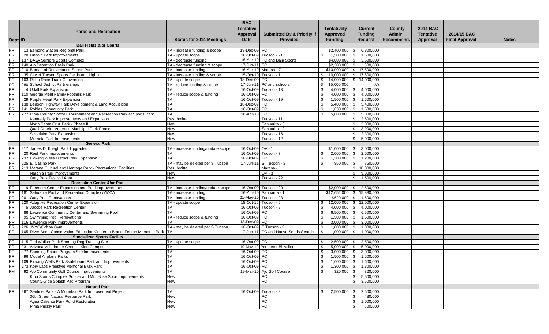|           |                                                                                  |                                    | <b>BAC</b>       |                                       |                      |                              |            |                  |                       |              |
|-----------|----------------------------------------------------------------------------------|------------------------------------|------------------|---------------------------------------|----------------------|------------------------------|------------|------------------|-----------------------|--------------|
|           | <b>Parks and Recreation</b>                                                      |                                    | <b>Tentative</b> |                                       | <b>Tentatively</b>   | <b>Current</b>               | County     | <b>2014 BAC</b>  |                       |              |
|           |                                                                                  |                                    | <b>Approval</b>  | <b>Submitted By &amp; Priority if</b> | Approved             | <b>Funding</b>               | Admin.     | <b>Tentative</b> | 2014/15 BAC           |              |
| Dept ID   |                                                                                  | <b>Status for 2014 Meetings</b>    | Date             | <b>Provided</b>                       | <b>Funding</b>       | <b>Request</b>               | Recommend. | Approval         | <b>Final Approval</b> | <b>Notes</b> |
|           | <b>Ball Fields &amp;/or Courts</b>                                               |                                    |                  |                                       |                      |                              |            |                  |                       |              |
| PR        | 13 Esmond Station Regional Park                                                  | TA - increase funding & scope      | 18-Dec-09 PC     |                                       | \$2,400,000          | 6,800,000<br>∣\$.            |            |                  |                       |              |
| PR        | 28 Lincoln Park Improvements                                                     | TA - update scope                  |                  | 16-Oct-09 Tucson - 21                 | \$<br>$1,500,000$ \$ | 1,500,000                    |            |                  |                       |              |
| PR        | 137 BAJA Seniors Sports Complex                                                  | TA - decrease funding              |                  | 16-Apr-10 PC and Baja Sports          | $$4,000,000$ \$      | 3,500,000                    |            |                  |                       |              |
| PR        | 140 Ajo Detention Basin Park                                                     | TA - decrease funding & scope      | 17-Jun-11 PC     |                                       | $$2,200,000$ \ \$    | 500,000                      |            |                  |                       |              |
| PR        | 210 Bureau of Reclamation Sports Park                                            | TA - increase funding              |                  | 16-Apr-10 Marana - 7                  |                      | $$10,000,000$ $$ 17,500,000$ |            |                  |                       |              |
| PR        | 35 City of Tucson Sports Fields and Lighting                                     | TA - increase funding & scope      |                  | 15-Oct-10 Tucson - 1                  | \$                   | 10,000,000   \$ 17,500,000   |            |                  |                       |              |
| PR        | 103 Rillito Race Track Conversion                                                | TA - update scope                  | 18-Dec-09 PC     |                                       | \$                   | 14,000,000   \$ 14,000,000   |            |                  |                       |              |
| PR        | 280 School District Partnerships                                                 | TA - reduce funding & scope        |                  | 17-Jun-11 PC and schools              | 15,000,000<br>\$     | \$0                          |            |                  |                       |              |
| PR        | 4 Udall Park Expansion                                                           | TA                                 |                  | 16-Oct-09 Tucson - 13                 | $4,000,000$ \$<br>\$ | 4,000,000                    |            |                  |                       |              |
| PR        | 110 George Mehl Family Foothills Park                                            | TA - reduce scope & funding        | 16-Oct-09 PC     |                                       | \$<br>$4,000,000$ \$ | 4,000,000                    |            |                  |                       |              |
| PR        | 29 Purple Heart Park Expansion                                                   | TA                                 |                  | 16-Oct-09 Tucson - 19                 | \$<br>$1,500,000$ \$ | 1,500,000                    |            |                  |                       |              |
| PR        | 138 Benson Highway Park Development & Land Acquisition                           | <b>TA</b>                          | 18-Dec-09 PC     |                                       | $5,400,000$ \$<br>\$ | 5,400,000                    |            |                  |                       |              |
| PR        | 141 Robles Community Park                                                        | <b>TA</b>                          | 16-Oct-09 PC     |                                       | \$<br>1,630,000      | 1,630,000<br><b>S</b>        |            |                  |                       |              |
| PR        | 277 Pima County Softball Tournament and Recreation Park at Sports Park           | <b>TA</b>                          | 16-Apr-10 PC     |                                       | \$<br>$5,000,000$ \$ | 5,000,000                    |            |                  |                       |              |
|           | Kennedy Park Improvements and Expansion                                          | Resubmittal                        |                  | Tucson - 11                           |                      | 2,500,000<br>\$              |            |                  |                       |              |
|           | North Santa Cruz Park - Phase II                                                 | New                                |                  | Sahuarita - 3                         |                      | 3,000,000<br>\$              |            |                  |                       |              |
|           | Quail Creek - Veterans Municipal Park Phase II                                   | New                                |                  | Sahuarita - 2                         |                      | 3,900,000<br>\$.             |            |                  |                       |              |
|           | Silverlake Park Expansion                                                        | New                                |                  | Tucson - 16                           |                      | 2,300,000                    |            |                  |                       |              |
|           | Murrieta Park Improvements                                                       | New                                |                  | Tucson - 12                           |                      | 5,000,000                    |            |                  |                       |              |
|           | <b>General Park</b>                                                              |                                    |                  |                                       |                      |                              |            |                  |                       |              |
| <b>PR</b> | 217 James D. Kriegh Park Upgrades                                                | TA - increase funding/update scope | 16-Oct-09 OV - 1 |                                       | \$1,000,000          | 3,000,000                    |            |                  |                       |              |
| PR        | 20 Reid Park Improvements                                                        | TA.                                |                  | 16-Oct-09 Tucson - 7                  | 2,000,000<br>-\$     | 2,000,000<br>- \$            |            |                  |                       |              |
| <b>PR</b> | 237 Flowing Wells District Park Expansion                                        | <b>TA</b>                          | 16-Oct-09 PC     |                                       | 1,200,000<br>-\$     | 1,200,000                    |            |                  |                       |              |
| PR        | 225 El Casino Park                                                               | TA - may be deleted per S. Tucson  |                  | 17-Jun-11 S. Tucson - 3               | 850,000<br>-\$       | 850,000                      |            |                  |                       |              |
| <b>PR</b> | 213 Marana Cultural and Heritage Park - Recreational Facilities                  | Resubmittal                        |                  | Marana - 1                            |                      | 10,000,000<br>\$.            |            |                  |                       |              |
|           | Naranja Park Improvements                                                        | New                                |                  | $OV - 3$                              |                      | 9,000,000                    |            |                  |                       |              |
|           | Oury Park Festival Area                                                          | <b>New</b>                         |                  | Tucson - 22                           |                      | 1,500,000<br>\$.             |            |                  |                       |              |
|           | <b>Recreation Center &amp;/or Pool</b>                                           |                                    |                  |                                       |                      |                              |            |                  |                       |              |
| PR        | 19 Freedom Center Expansion and Pool Improvements                                | TA - increase funding/update scope | 16-Oct-09        | Tucson - 20                           | \$2,000,000          | 2,500,000                    |            |                  |                       |              |
| PR        | 181 Sahuarita Pool and Recreation Complex /YMCA                                  | TA - increase funding              |                  | 16-Apr-10 Sahuarita - 1               | \$12,652,000         | 15,880,500<br>- \$           |            |                  |                       |              |
| PR        | 201 Oury Pool Renovations                                                        | TA - increase funding              |                  | 21-May-10 Tucson - 23                 | \$620,000            | 1,500,000<br>-\$             |            |                  |                       |              |
| <b>PR</b> | 220 Adaptive Recreation Center Expansion                                         | TA - update scope                  |                  | 15-Oct-10 Tucson - $5$                | 12,000,000<br>\$     | 12,000,000<br>- \$           |            |                  |                       |              |
| PR        | 5 Jacobs Park Recreation Center                                                  | TA                                 |                  | 16-Oct-09 Tucson - 9                  | 4,000,000<br>-\$     | 4,000,000                    |            |                  |                       |              |
| PR        | 86 Lawrence Community Center and Swimming Pool                                   | <b>TA</b>                          | 16-Oct-09 PC     |                                       | 6,500,000<br>\$      | 6,500,000<br>- \$            |            |                  |                       |              |
| PR        | 95 Swimming Pool Renovations                                                     | TA - reduce scope & funding        | 16-Oct-09 PC     |                                       | 1,500,000<br>\$      | 1,500,000<br>-\$             |            |                  |                       |              |
| PR        | 116 Lawrence Park Improvements                                                   | <b>TA</b>                          | 18-Dec-09 PC     |                                       | 3,000,000<br>\$      | 3,000,000<br><b>S</b>        |            |                  |                       |              |
| PR        | 226 JVYC/Ochoa Gym                                                               | TA - may be deleted per S. Tucson  |                  | 16-Oct-09 S.Tucson - 2                | \$<br>1,000,000      | 1,000,000<br>-\$             |            |                  |                       |              |
| PR        | 105 River Bend Conservation Education Center at Brandi Fenton Memorial Park   TA |                                    |                  | 17-Jun-11 PC and Native Seeds Search  | \$<br>1,000,000      | 1,000,000<br><b>S</b>        |            |                  |                       |              |
|           | <b>Specialized Sports Facility</b>                                               |                                    |                  |                                       |                      |                              |            |                  |                       |              |
| PR.       | 115 Ted Walker Park Sporting Dog Training Site                                   | TA - update scope                  | 16-Oct-09 PC     |                                       | 2,500,000<br>-\$     | 2,500,000                    |            |                  |                       |              |
| <b>PR</b> | 231 Arizona Velodrome Center - Kino Campus                                       | ТA                                 |                  | 19-Nov-10 Perimeter Bicycling         | \$<br>5,000,000      | 5,000,000                    |            |                  |                       |              |
| <b>PR</b> | 77 Shooting Sports Program Site Improvements                                     | TA                                 | 16-Oct-09 PC     |                                       | 3,000,000<br>-\$     | 3,000,000                    |            |                  |                       |              |
| PR        | 96 Model Airplane Parks                                                          | TA                                 | 16-Oct-09 PC     |                                       | -\$<br>1,500,000     | 1,500,000                    |            |                  |                       |              |
| PR        | 109 Flowing Wells Park Skateboard Park and Improvements                          | TA.                                | 16-Oct-09 PC     |                                       | $1,600,000$ \$<br>\$ | 1,600,000                    |            |                  |                       |              |
|           | PR   273 Kory Laos Freestyle Memorial BMX Park                                   | <b>TA</b>                          | 16-Oct-09 PC     |                                       | \$                   | $1,300,000$ \$ $1,300,000$   |            |                  |                       |              |
|           | <b>FM</b> 92 Ajo Community Golf Course Improvements                              | <b>TA</b>                          |                  | 19-Mar-10 Ajo Golf Course             | $320,000$ \$<br>\$   | 320,000                      |            |                  |                       |              |
|           | Kino Sports Complex Soccer and Multi-Use Sport Improvements                      | New                                |                  | PC                                    |                      | \$5,500,000                  |            |                  |                       |              |
|           | County-wide Splash Pad Program                                                   | New                                |                  | $\overline{PC}$                       |                      | \$3,500,000                  |            |                  |                       |              |
|           | <b>Natural Park</b>                                                              |                                    |                  |                                       |                      |                              |            |                  |                       |              |
|           | PR   267 Sentinel Park - A Mountain Park Improvement Project                     | TA                                 |                  | 16-Oct-09 Tucson - 8                  | \$                   | 2,500,000 \$ 2,500,000       |            |                  |                       |              |
|           | 36th Street Natural Resource Park                                                | <b>New</b>                         |                  | PC                                    |                      | 480,000<br>\$.               |            |                  |                       |              |
|           | Aqua Caliente Park Pond Restoration                                              | New                                |                  | $\overline{PC}$                       |                      | 1,000,000<br>\$              |            |                  |                       |              |
|           | Pima Prickly Park                                                                | New                                |                  | PC                                    |                      | 500,000<br>\$                |            |                  |                       |              |